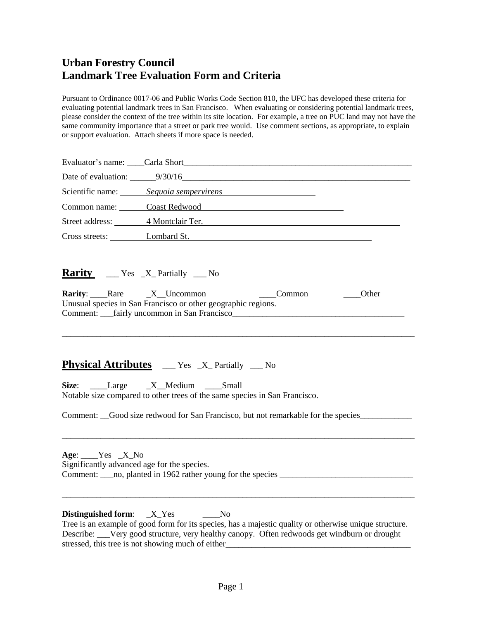## **Urban Forestry Council Landmark Tree Evaluation Form and Criteria**

Pursuant to Ordinance 0017-06 and Public Works Code Section 810, the UFC has developed these criteria for evaluating potential landmark trees in San Francisco. When evaluating or considering potential landmark trees, please consider the context of the tree within its site location. For example, a tree on PUC land may not have the same community importance that a street or park tree would. Use comment sections, as appropriate, to explain or support evaluation. Attach sheets if more space is needed.

|                                                             | Scientific name: Sequoia sempervirens                                                                                                                        |
|-------------------------------------------------------------|--------------------------------------------------------------------------------------------------------------------------------------------------------------|
|                                                             | Common name: Coast Redwood Common name:                                                                                                                      |
|                                                             | Street address: 4 Montclair Ter.                                                                                                                             |
|                                                             | Cross streets: Lombard St.                                                                                                                                   |
| <b>Rarity:</b> Rare X Uncommon                              | <b>Rarity</b> $\qquad \qquad$ Yes $\mathbf{X}$ Partially $\qquad \qquad$ No<br>_______Other<br>Unusual species in San Francisco or other geographic regions. |
|                                                             | <b>Physical Attributes</b> ___ Yes _X_Partially __ No                                                                                                        |
|                                                             | Size: Large X Medium Small<br>Notable size compared to other trees of the same species in San Francisco.                                                     |
|                                                             | Comment: _Good size redwood for San Francisco, but not remarkable for the species___________________                                                         |
| $Age:$ $X_N$<br>Significantly advanced age for the species. |                                                                                                                                                              |
| <b>Distinguished form:</b>                                  | X Yes<br>N <sub>o</sub>                                                                                                                                      |

Tree is an example of good form for its species, has a majestic quality or otherwise unique structure. Describe: \_\_\_Very good structure, very healthy canopy. Often redwoods get windburn or drought stressed, this tree is not showing much of either\_\_\_\_\_\_\_\_\_\_\_\_\_\_\_\_\_\_\_\_\_\_\_\_\_\_\_\_\_\_\_\_\_\_\_\_\_\_\_\_\_\_\_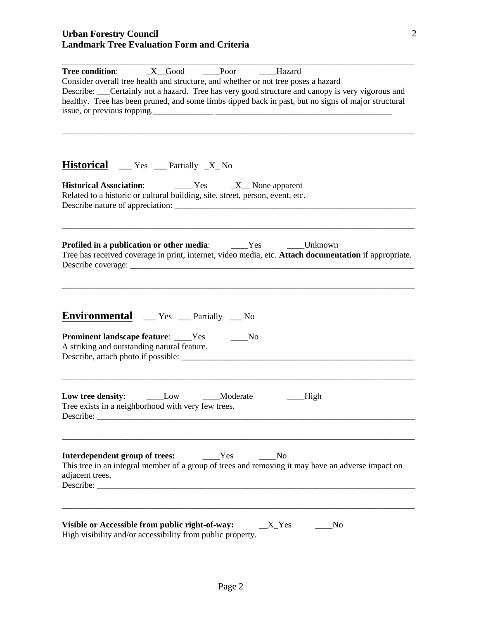| $X$ Good<br>Poor<br>Tree condition:<br>Hazard<br>Consider overall tree health and structure, and whether or not tree poses a hazard<br>Describe: ___Certainly not a hazard. Tree has very good structure and canopy is very vigorous and<br>healthy. Tree has been pruned, and some limbs tipped back in past, but no signs of major structural<br>issue, or previous topping. |  |  |
|--------------------------------------------------------------------------------------------------------------------------------------------------------------------------------------------------------------------------------------------------------------------------------------------------------------------------------------------------------------------------------|--|--|
| <b>Historical</b> __ Yes __ Partially _X_No                                                                                                                                                                                                                                                                                                                                    |  |  |
| <b>Historical Association:</b> Tes Tes TVES None apparent<br>Related to a historic or cultural building, site, street, person, event, etc.                                                                                                                                                                                                                                     |  |  |
| _____Unknown<br><b>Profiled in a publication or other media:</b> _______Yes<br>Tree has received coverage in print, internet, video media, etc. Attach documentation if appropriate.                                                                                                                                                                                           |  |  |
| <b>Environmental</b> ___ Yes ___ Partially ___ No<br><b>Prominent landscape feature:</b> ____Yes<br>No.<br>A striking and outstanding natural feature.                                                                                                                                                                                                                         |  |  |
| Low tree density: __________Low ___________Moderate<br><b>High</b><br>Tree exists in a neighborhood with very few trees.                                                                                                                                                                                                                                                       |  |  |
| Interdependent group of trees:<br>Yes<br>N <sub>o</sub><br>This tree in an integral member of a group of trees and removing it may have an adverse impact on<br>adjacent trees.                                                                                                                                                                                                |  |  |
| Visible or Accessible from public right-of-way:<br>$X_Y$<br>No<br>High visibility and/or accessibility from public property.                                                                                                                                                                                                                                                   |  |  |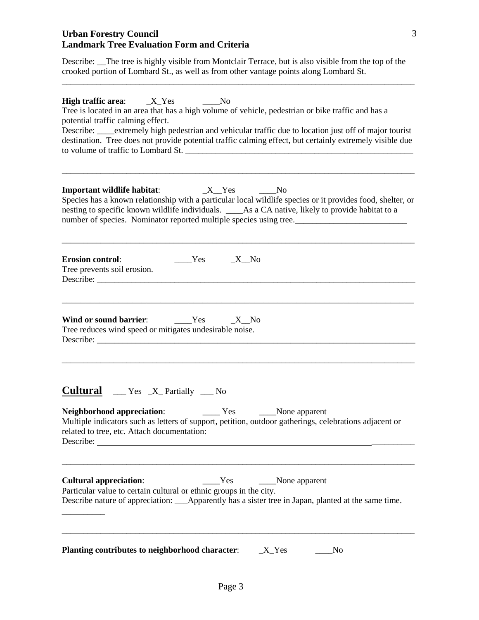## **Urban Forestry Council Landmark Tree Evaluation Form and Criteria**

Describe: \_\_The tree is highly visible from Montclair Terrace, but is also visible from the top of the crooked portion of Lombard St., as well as from other vantage points along Lombard St.

\_\_\_\_\_\_\_\_\_\_\_\_\_\_\_\_\_\_\_\_\_\_\_\_\_\_\_\_\_\_\_\_\_\_\_\_\_\_\_\_\_\_\_\_\_\_\_\_\_\_\_\_\_\_\_\_\_\_\_\_\_\_\_\_\_\_\_\_\_\_\_\_\_\_\_\_\_\_\_\_\_\_

| $\frac{N_0}{N_0}$<br>Tree is located in an area that has a high volume of vehicle, pedestrian or bike traffic and has a<br>potential traffic calming effect.<br>Describe: ____extremely high pedestrian and vehicular traffic due to location just off of major tourist<br>destination. Tree does not provide potential traffic calming effect, but certainly extremely visible due<br>to volume of traffic to Lombard St. |  |  |
|----------------------------------------------------------------------------------------------------------------------------------------------------------------------------------------------------------------------------------------------------------------------------------------------------------------------------------------------------------------------------------------------------------------------------|--|--|
| Species has a known relationship with a particular local wildlife species or it provides food, shelter, or<br>nesting to specific known wildlife individuals. ____As a CA native, likely to provide habitat to a<br>number of species. Nominator reported multiple species using tree.                                                                                                                                     |  |  |
| <b>Erosion control:</b><br>$Yes$ X No<br>Tree prevents soil erosion.                                                                                                                                                                                                                                                                                                                                                       |  |  |
| Wind or sound barrier: ________Yes<br>$-X$ No<br>Tree reduces wind speed or mitigates undesirable noise.                                                                                                                                                                                                                                                                                                                   |  |  |
| <b>Cultural</b> ___ Yes _X_Partially ___ No<br>Multiple indicators such as letters of support, petition, outdoor gatherings, celebrations adjacent or<br>related to tree, etc. Attach documentation:<br>Describe:                                                                                                                                                                                                          |  |  |
| <b>Cultural appreciation:</b><br>Yes<br>None apparent<br>Particular value to certain cultural or ethnic groups in the city.<br>Describe nature of appreciation: _____Apparently has a sister tree in Japan, planted at the same time.                                                                                                                                                                                      |  |  |
| Planting contributes to neighborhood character:<br>$X_Yes$<br>No                                                                                                                                                                                                                                                                                                                                                           |  |  |